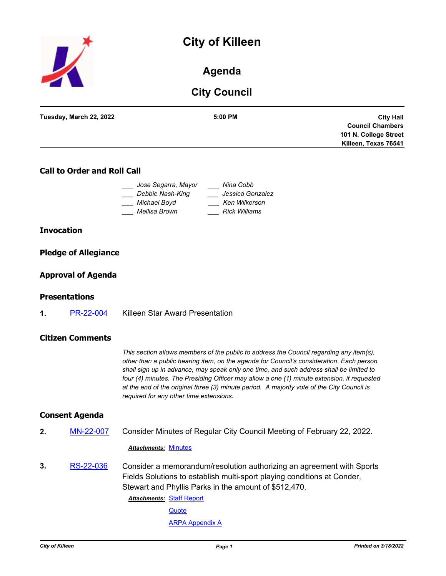# **City of Killeen**



### **Agenda**

## **City Council**

| Tuesday, March 22, 2022 | $5:00$ PM | <b>City Hall</b>        |
|-------------------------|-----------|-------------------------|
|                         |           | <b>Council Chambers</b> |
|                         |           | 101 N. College Street   |
|                         |           | Killeen, Texas 76541    |
|                         |           |                         |

### **Call to Order and Roll Call**

| Jose Segarra, Mayor | Nina Cobb            |
|---------------------|----------------------|
| Debbie Nash-King    | Jessica Gonzalez     |
| Michael Boyd        | Ken Wilkerson        |
| Mellisa Brown       | <b>Rick Williams</b> |

#### **Invocation**

#### **Pledge of Allegiance**

#### **Approval of Agenda**

#### **Presentations**

**1.** [PR-22-004](http://killeen.legistar.com/gateway.aspx?m=l&id=/matter.aspx?key=6015) Killeen Star Award Presentation

#### **Citizen Comments**

*This section allows members of the public to address the Council regarding any item(s), other than a public hearing item, on the agenda for Council's consideration. Each person shall sign up in advance, may speak only one time, and such address shall be limited to four (4) minutes. The Presiding Officer may allow a one (1) minute extension, if requested at the end of the original three (3) minute period. A majority vote of the City Council is required for any other time extensions.*

#### **Consent Agenda**

**2.** [MN-22-007](http://killeen.legistar.com/gateway.aspx?m=l&id=/matter.aspx?key=6000) Consider Minutes of Regular City Council Meeting of February 22, 2022.

#### *Attachments:* [Minutes](http://killeen.legistar.com/gateway.aspx?M=F&ID=c27470ac-efd9-45bd-bccd-faab0a942cbd.pdf)

**3.** [RS-22-036](http://killeen.legistar.com/gateway.aspx?m=l&id=/matter.aspx?key=5996) Consider a memorandum/resolution authorizing an agreement with Sports Fields Solutions to establish multi-sport playing conditions at Conder, Stewart and Phyllis Parks in the amount of \$512,470.

> **Attachments: [Staff Report](http://killeen.legistar.com/gateway.aspx?M=F&ID=7cbb4fee-84d2-4030-9290-e5a1832ec02f.pdf) [Quote](http://killeen.legistar.com/gateway.aspx?M=F&ID=1e47bcc2-4aaa-42df-af9c-fdd754d3fa5d.pdf) [ARPA Appendix A](http://killeen.legistar.com/gateway.aspx?M=F&ID=d69ecd3b-15eb-48ad-8cf1-82000b24ffc0.pdf)**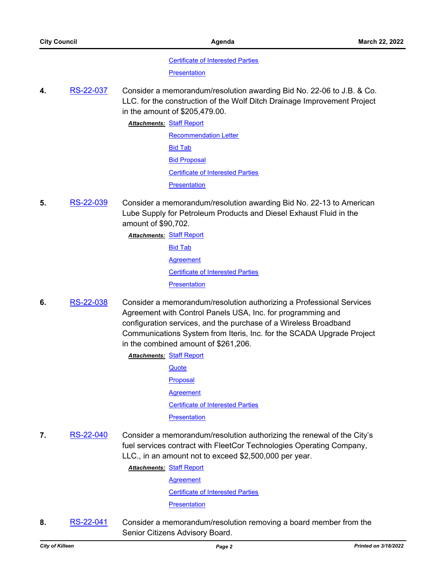[Certificate of Interested Parties](http://killeen.legistar.com/gateway.aspx?M=F&ID=ff9a5fe9-7fba-42d2-bf6b-dc362688c3dc.pdf)

**[Presentation](http://killeen.legistar.com/gateway.aspx?M=F&ID=138bad81-81be-44cf-9c23-77c3bff8ff6e.pdf)** 

**4.** [RS-22-037](http://killeen.legistar.com/gateway.aspx?m=l&id=/matter.aspx?key=6002) Consider a memorandum/resolution awarding Bid No. 22-06 to J.B. & Co. LLC. for the construction of the Wolf Ditch Drainage Improvement Project in the amount of \$205,479.00.

**Attachments: [Staff Report](http://killeen.legistar.com/gateway.aspx?M=F&ID=3d90d413-795e-4fc2-9554-4f2aba65d6e3.pdf)** 

[Recommendation Letter](http://killeen.legistar.com/gateway.aspx?M=F&ID=f4e61131-6d89-41a4-acc6-9402872570f0.pdf) [Bid Tab](http://killeen.legistar.com/gateway.aspx?M=F&ID=7a12ef10-e218-4430-97a0-ef46790f3b4b.pdf) **[Bid Proposal](http://killeen.legistar.com/gateway.aspx?M=F&ID=5b5ba8fd-dbd3-4040-b0c6-d8afecbb8b46.pdf)** [Certificate of Interested Parties](http://killeen.legistar.com/gateway.aspx?M=F&ID=475068af-ed8e-4ac3-89f5-a1adfaceedc2.pdf) **[Presentation](http://killeen.legistar.com/gateway.aspx?M=F&ID=df3575b3-a98f-4dfe-ba37-8fe01af9323f.pdf)** 

- **5.** [RS-22-039](http://killeen.legistar.com/gateway.aspx?m=l&id=/matter.aspx?key=6006) Consider a memorandum/resolution awarding Bid No. 22-13 to American Lube Supply for Petroleum Products and Diesel Exhaust Fluid in the amount of \$90,702.
	- **Attachments: [Staff Report](http://killeen.legistar.com/gateway.aspx?M=F&ID=9f46e4f6-1928-40ca-8e44-7e07d7125f74.pdf)** [Bid Tab](http://killeen.legistar.com/gateway.aspx?M=F&ID=62681763-1ff4-4586-ac4d-027fcbcfee21.pdf) **[Agreement](http://killeen.legistar.com/gateway.aspx?M=F&ID=d1e98ac9-dc52-4831-a873-7a0f882f26e8.pdf)** [Certificate of Interested Parties](http://killeen.legistar.com/gateway.aspx?M=F&ID=9efb83fd-12f5-41d8-8dd6-bc438088fa16.pdf) **[Presentation](http://killeen.legistar.com/gateway.aspx?M=F&ID=6e96e870-2b3a-4f30-8cdc-ee63f1ae414e.pdf)**
- **6.** [RS-22-038](http://killeen.legistar.com/gateway.aspx?m=l&id=/matter.aspx?key=6007) Consider a memorandum/resolution authorizing a Professional Services Agreement with Control Panels USA, Inc. for programming and configuration services, and the purchase of a Wireless Broadband Communications System from Iteris, Inc. for the SCADA Upgrade Project in the combined amount of \$261,206.
	- **Attachments: [Staff Report](http://killeen.legistar.com/gateway.aspx?M=F&ID=69ab19e5-0a1c-495f-b81a-0bbcd2f7134b.pdf) [Quote](http://killeen.legistar.com/gateway.aspx?M=F&ID=39e2007c-2ad2-4ac5-a0ec-5f082c9c341e.pdf) [Proposal](http://killeen.legistar.com/gateway.aspx?M=F&ID=5efface1-98e8-46ea-927c-b66d01a84f87.pdf) [Agreement](http://killeen.legistar.com/gateway.aspx?M=F&ID=2d86cd80-3e6d-4229-9d5a-4b866f157c9c.pdf)** [Certificate of Interested Parties](http://killeen.legistar.com/gateway.aspx?M=F&ID=6535a771-9234-43f3-a343-89445cad7151.pdf) **[Presentation](http://killeen.legistar.com/gateway.aspx?M=F&ID=49fb467b-58fb-4436-a378-cffd597b030f.pdf)**
- **7.** [RS-22-040](http://killeen.legistar.com/gateway.aspx?m=l&id=/matter.aspx?key=6008) Consider a memorandum/resolution authorizing the renewal of the City's fuel services contract with FleetCor Technologies Operating Company, LLC., in an amount not to exceed \$2,500,000 per year.

**Attachments: [Staff Report](http://killeen.legistar.com/gateway.aspx?M=F&ID=34cee70c-b8e5-413a-8b49-642a06937692.pdf)** 

[Agreement](http://killeen.legistar.com/gateway.aspx?M=F&ID=58ebe1f4-93bd-4642-8eed-59f1a5d557f6.pdf) [Certificate of Interested Parties](http://killeen.legistar.com/gateway.aspx?M=F&ID=d6ef5780-0277-4aeb-ac27-54d84816d1d9.pdf) **[Presentation](http://killeen.legistar.com/gateway.aspx?M=F&ID=9a41c302-7708-4fe6-b44a-9e956a55d67d.pdf)** 

**8.** [RS-22-041](http://killeen.legistar.com/gateway.aspx?m=l&id=/matter.aspx?key=6029) Consider a memorandum/resolution removing a board member from the Senior Citizens Advisory Board.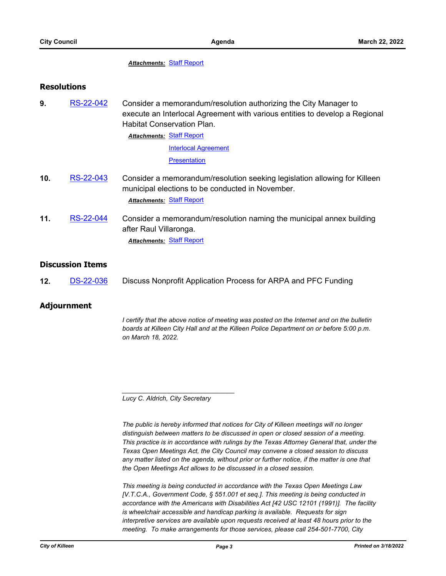#### *Attachments:* [Staff Report](http://killeen.legistar.com/gateway.aspx?M=F&ID=3f0ad713-0e10-4e3a-8606-ee5fb43cbb34.pdf)

#### **Resolutions**

**9.** [RS-22-042](http://killeen.legistar.com/gateway.aspx?m=l&id=/matter.aspx?key=6025) Consider a memorandum/resolution authorizing the City Manager to execute an Interlocal Agreement with various entities to develop a Regional Habitat Conservation Plan.

> **Attachments: [Staff Report](http://killeen.legistar.com/gateway.aspx?M=F&ID=c17f9081-4bd2-4b02-b84d-c41b01f58360.pdf)** [Interlocal Agreement](http://killeen.legistar.com/gateway.aspx?M=F&ID=fd6e866d-4dd7-495d-8d71-a330d31c4d8c.pdf) **[Presentation](http://killeen.legistar.com/gateway.aspx?M=F&ID=8a2b93db-55c8-4f81-9002-5adde62b42ac.pdf)**

- **10.** [RS-22-043](http://killeen.legistar.com/gateway.aspx?m=l&id=/matter.aspx?key=6053) Consider a memorandum/resolution seeking legislation allowing for Killeen municipal elections to be conducted in November. *Attachments:* [Staff Report](http://killeen.legistar.com/gateway.aspx?M=F&ID=5dc15ecd-5ef7-4c3f-bd3d-333335998ae8.pdf)
- **11.** [RS-22-044](http://killeen.legistar.com/gateway.aspx?m=l&id=/matter.aspx?key=6058) Consider a memorandum/resolution naming the municipal annex building after Raul Villaronga. *Attachments:* [Staff Report](http://killeen.legistar.com/gateway.aspx?M=F&ID=2d8ed372-c880-4a87-9889-ee5f8c1a4b8c.pdf)

#### **Discussion Items**

**12.** [DS-22-036](http://killeen.legistar.com/gateway.aspx?m=l&id=/matter.aspx?key=6056) Discuss Nonprofit Application Process for ARPA and PFC Funding

#### **Adjournment**

*I certify that the above notice of meeting was posted on the Internet and on the bulletin boards at Killeen City Hall and at the Killeen Police Department on or before 5:00 p.m. on March 18, 2022.*

*Lucy C. Aldrich, City Secretary* 

*\_\_\_\_\_\_\_\_\_\_\_\_\_\_\_\_\_\_\_\_\_\_\_\_\_\_\_\_\_\_\_*

*The public is hereby informed that notices for City of Killeen meetings will no longer distinguish between matters to be discussed in open or closed session of a meeting. This practice is in accordance with rulings by the Texas Attorney General that, under the Texas Open Meetings Act, the City Council may convene a closed session to discuss any matter listed on the agenda, without prior or further notice, if the matter is one that the Open Meetings Act allows to be discussed in a closed session.*

*This meeting is being conducted in accordance with the Texas Open Meetings Law [V.T.C.A., Government Code, § 551.001 et seq.]. This meeting is being conducted in accordance with the Americans with Disabilities Act [42 USC 12101 (1991)]. The facility is wheelchair accessible and handicap parking is available. Requests for sign interpretive services are available upon requests received at least 48 hours prior to the meeting. To make arrangements for those services, please call 254-501-7700, City*